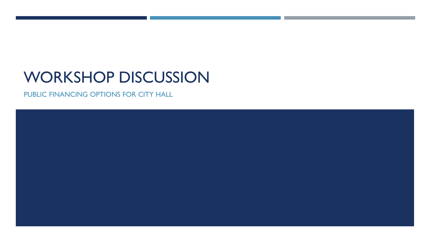# WORKSHOP DISCUSSION

PUBLIC FINANCING OPTIONS FOR CITY HALL

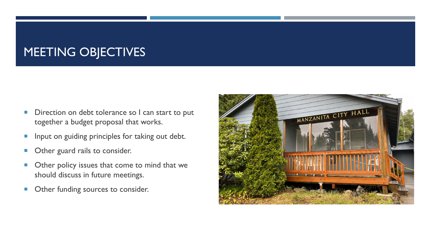# MEETING OBJECTIVES

- Direction on debt tolerance so I can start to put together a budget proposal that works.
- **Input on guiding principles for taking out debt.**
- **Other guard rails to consider.**
- **Other policy issues that come to mind that we** should discuss in future meetings.
- **Other funding sources to consider.**

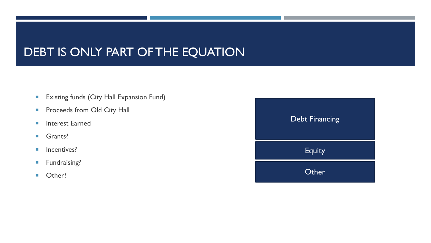## DEBT IS ONLY PART OF THE EQUATION

- **Existing funds (City Hall Expansion Fund)**
- **Proceeds from Old City Hall**
- **Interest Earned**
- Grants?
- **Incentives?**
- **Fundraising?**
- **D** Other?

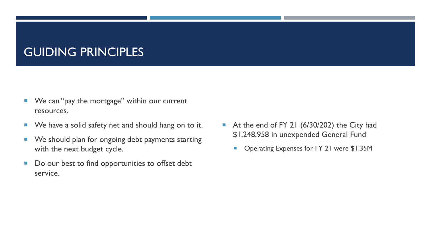#### GUIDING PRINCIPLES

- We can "pay the mortgage" within our current resources.
- **We have a solid safety net and should hang on to it.**
- **We should plan for ongoing debt payments starting** with the next budget cycle.
- Do our best to find opportunities to offset debt service.
- At the end of FY 21 (6/30/202) the City had \$1,248,958 in unexpended General Fund
	- Operating Expenses for FY 21 were \$1.35M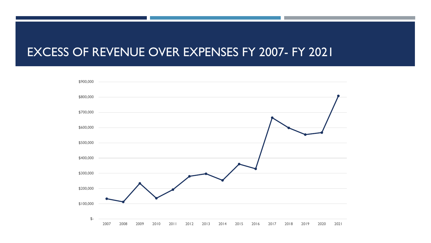#### EXCESS OF REVENUE OVER EXPENSES FY 2007- FY 2021

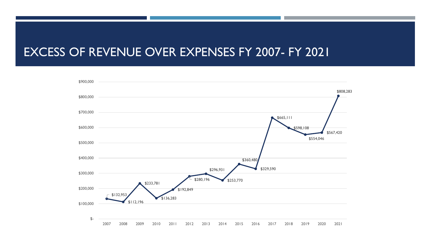#### EXCESS OF REVENUE OVER EXPENSES FY 2007- FY 2021

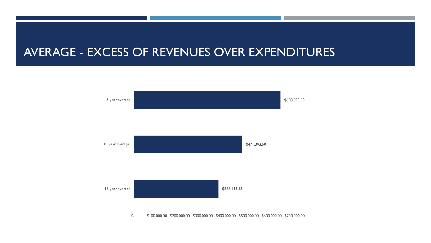#### AVERAGE - EXCESS OF REVENUES OVER EXPENDITURES

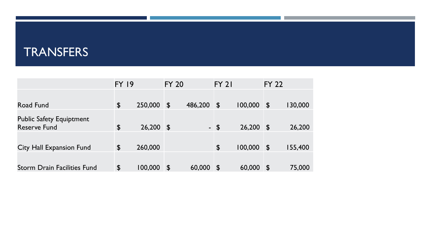### TRANSFERS

|                                    | <b>FY 19</b>          |         | <b>FY 20</b>              |         | $FY$ 21                 |         | <b>FY 22</b>              |         |
|------------------------------------|-----------------------|---------|---------------------------|---------|-------------------------|---------|---------------------------|---------|
|                                    |                       |         |                           |         |                         |         |                           |         |
| Road Fund                          | $\boldsymbol{\theta}$ | 250,000 | $\boldsymbol{\mathsf{S}}$ | 486,200 | $\mathbf{\mathfrak{p}}$ | 100,000 | $\mathfrak{P}$            | 130,000 |
| <b>Public Safety Equiptment</b>    |                       |         |                           |         |                         |         |                           |         |
| <b>Reserve Fund</b>                | \$                    | 26,200  | $\mathbf 3$               |         | $-5$                    | 26,200  | $\mathfrak{F}$            | 26,200  |
|                                    |                       |         |                           |         |                         |         |                           |         |
| <b>City Hall Expansion Fund</b>    | \$                    | 260,000 |                           |         | $\boldsymbol{\theta}$   | 100,000 | $\mathfrak{P}$            | 155,400 |
|                                    |                       |         |                           |         |                         |         |                           |         |
| <b>Storm Drain Facilities Fund</b> | $\boldsymbol{\theta}$ | 100,000 | $\boldsymbol{\mathsf{S}}$ | 60,000  | $\mathbf{S}$            | 60,000  | $\boldsymbol{\mathsf{S}}$ | 75,000  |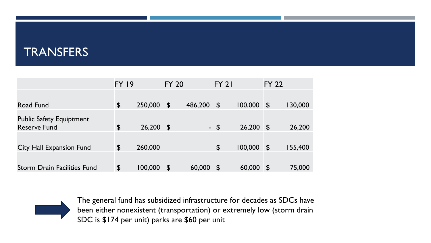#### **TRANSFERS**

|                                    | <b>FY 19</b>          |         | <b>FY 20</b>              |         | <b>FY 21</b>          |         | <b>FY 22</b>           |         |
|------------------------------------|-----------------------|---------|---------------------------|---------|-----------------------|---------|------------------------|---------|
|                                    |                       |         |                           |         |                       |         |                        |         |
| Road Fund                          | \$                    | 250,000 | $\boldsymbol{\mathsf{S}}$ | 486,200 | $\mathbf{r}$          | 100,000 | $\mathfrak{P}$         | 130,000 |
| <b>Public Safety Equiptment</b>    |                       |         |                           |         |                       |         |                        |         |
| <b>Reserve Fund</b>                | $\boldsymbol{\theta}$ | 26,200  | $\mathbf{r}$              |         | $-5$                  | 26,200  | $\mathbf 3$            | 26,200  |
|                                    |                       |         |                           |         |                       |         |                        |         |
| <b>City Hall Expansion Fund</b>    | \$                    | 260,000 |                           |         | $\boldsymbol{\theta}$ | 100,000 | $\mathbf{r}$           | 155,400 |
|                                    |                       |         |                           |         |                       |         |                        |         |
| <b>Storm Drain Facilities Fund</b> | $\boldsymbol{\theta}$ | 100,000 | $\boldsymbol{\mathsf{S}}$ | 60,000  | $\mathbf{r}$          | 60,000  | $\mathbf{\mathcal{F}}$ | 75,000  |



The general fund has subsidized infrastructure for decades as SDCs have been either nonexistent (transportation) or extremely low (storm drain SDC is \$174 per unit) parks are \$60 per unit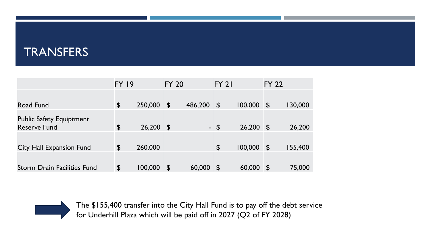#### **TRANSFERS**

|                                    | <b>FY 19</b>          |         | <b>FY 20</b>              |         | $FY$ 21                 |         | <b>FY 22</b>   |         |
|------------------------------------|-----------------------|---------|---------------------------|---------|-------------------------|---------|----------------|---------|
|                                    |                       |         |                           |         |                         |         |                |         |
| Road Fund                          | $\boldsymbol{\theta}$ | 250,000 | $\boldsymbol{\mathsf{S}}$ | 486,200 | $\mathbf{\mathfrak{p}}$ | 100,000 | $\mathfrak{P}$ | 130,000 |
| <b>Public Safety Equiptment</b>    |                       |         |                           |         |                         |         |                |         |
| <b>Reserve Fund</b>                | $\boldsymbol{\theta}$ | 26,200  | $\mathbf 3$               |         | $-5$                    | 26,200  | $\mathbf 3$    | 26,200  |
| <b>City Hall Expansion Fund</b>    | \$                    | 260,000 |                           |         | $\boldsymbol{\theta}$   | 100,000 | $\mathbf 3$    | 155,400 |
|                                    |                       |         |                           |         |                         |         |                |         |
|                                    |                       |         |                           |         |                         |         |                |         |
| <b>Storm Drain Facilities Fund</b> | $\boldsymbol{\theta}$ | 100,000 | $\boldsymbol{\mathsf{S}}$ | 60,000  | $\mathbf{S}$            | 60,000  | $\mathbf 3$    | 75,000  |



The \$155,400 transfer into the City Hall Fund is to pay off the debt service for Underhill Plaza which will be paid off in 2027 (Q2 of FY 2028)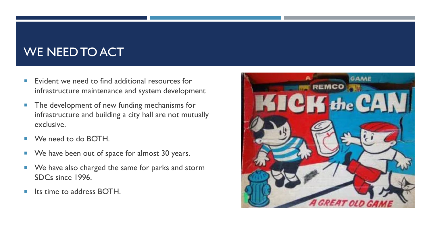# WE NEED TO ACT

- $\blacksquare$  Evident we need to find additional resources for infrastructure maintenance and system development
- **The development of new funding mechanisms for** infrastructure and building a city hall are not mutually exclusive.
- We need to do BOTH.
- We have been out of space for almost 30 years.
- We have also charged the same for parks and storm SDCs since 1996.
- **If the to address BOTH.**